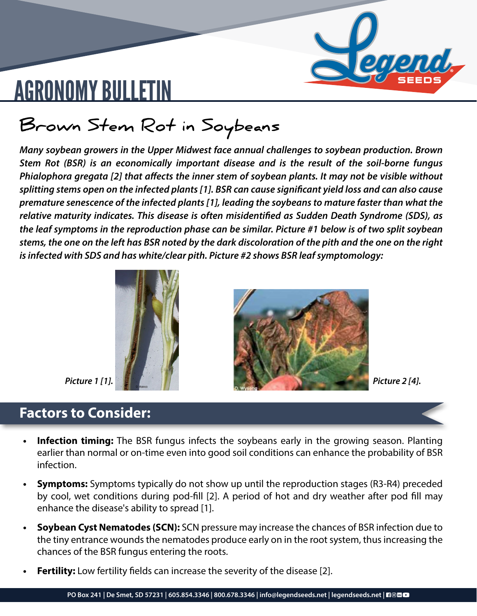

## AGRONOMY BULLETIN

### **Brown Stem Rot in Soybeans**

*Many soybean growers in the Upper Midwest face annual challenges to soybean production. Brown Stem Rot (BSR) is an economically important disease and is the result of the soil-borne fungus Phialophora gregata [2] that affects the inner stem of soybean plants. It may not be visible without splitting stems open on the infected plants [1]. BSR can cause significant yield loss and can also cause premature senescence of the infected plants [1], leading the soybeans to mature faster than what the relative maturity indicates. This disease is often misidentified as Sudden Death Syndrome (SDS), as the leaf symptoms in the reproduction phase can be similar. Picture #1 below is of two split soybean stems, the one on the left has BSR noted by the dark discoloration of the pith and the one on the right is infected with SDS and has white/clear pith. Picture #2 shows BSR leaf symptomology:*





### **Factors to Consider:**

- 
- **Infection timing:** The BSR fungus infects the soybeans early in the growing season. Planting earlier than normal or on-time even into good soil conditions can enhance the probability of BSR infection.
- **• Symptoms:** Symptoms typically do not show up until the reproduction stages (R3-R4) preceded by cool, wet conditions during pod-fill [2]. A period of hot and dry weather after pod fill may enhance the disease's ability to spread [1].
- **• Soybean Cyst Nematodes (SCN):** SCN pressure may increase the chances of BSR infection due to the tiny entrance wounds the nematodes produce early on in the root system, thus increasing the chances of the BSR fungus entering the roots.
- **• Fertility:** Low fertility fields can increase the severity of the disease [2].